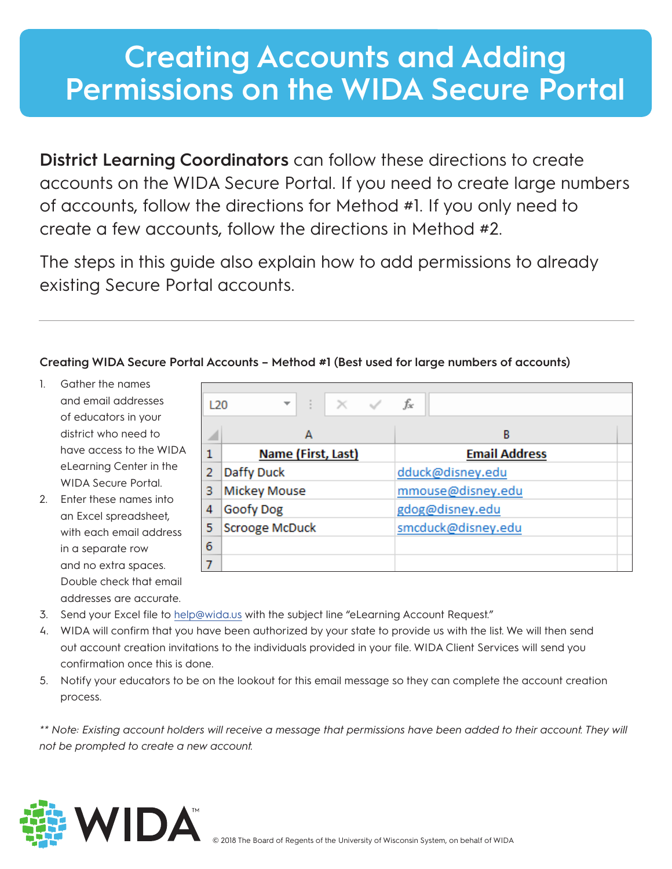## **Creating Accounts and Adding Permissions on the WIDA Secure Portal**

**District Learning Coordinators** can follow these directions to create accounts on the WIDA Secure Portal. If you need to create large numbers of accounts, follow the directions for Method #1. If you only need to create a few accounts, follow the directions in Method #2.

The steps in this guide also explain how to add permissions to already existing Secure Portal accounts.

## **Creating WIDA Secure Portal Accounts – Method #1 (Best used for large numbers of accounts)**

- 1. Gather the names and email addresses of educators in your district who need to have access to the WIDA eLearning Center in the WIDA Secure Portal.
- 2. Enter these names into an Excel spreadsheet, with each email address in a separate row and no extra spaces. Double check that email addresses are accurate.

| L20 | ÷<br>$\times$ $\checkmark$<br>$\overline{\phantom{a}}$ | fx                   |
|-----|--------------------------------------------------------|----------------------|
|     | А                                                      | В                    |
| 1   | Name (First, Last)                                     | <b>Email Address</b> |
| 2   | Daffy Duck                                             | dduck@disney.edu     |
| з   | <b>Mickey Mouse</b>                                    | mmouse@disney.edu    |
| 4   | <b>Goofy Dog</b>                                       | gdog@disney.edu      |
| 5   | <b>Scrooge McDuck</b>                                  | smcduck@disney.edu   |
| 6   |                                                        |                      |
|     |                                                        |                      |

- 3. Send your Excel file to help@wida.us with the subject line "eLearning Account Request."
- 4. WIDA will confirm that you have been authorized by your state to provide us with the list. We will then send out account creation invitations to the individuals provided in your file. WIDA Client Services will send you confirmation once this is done.
- 5. Notify your educators to be on the lookout for this email message so they can complete the account creation process.

\*\* Note: Existing account holders will receive a message that permissions have been added to their account. They will *not be prompted to create a new account.*